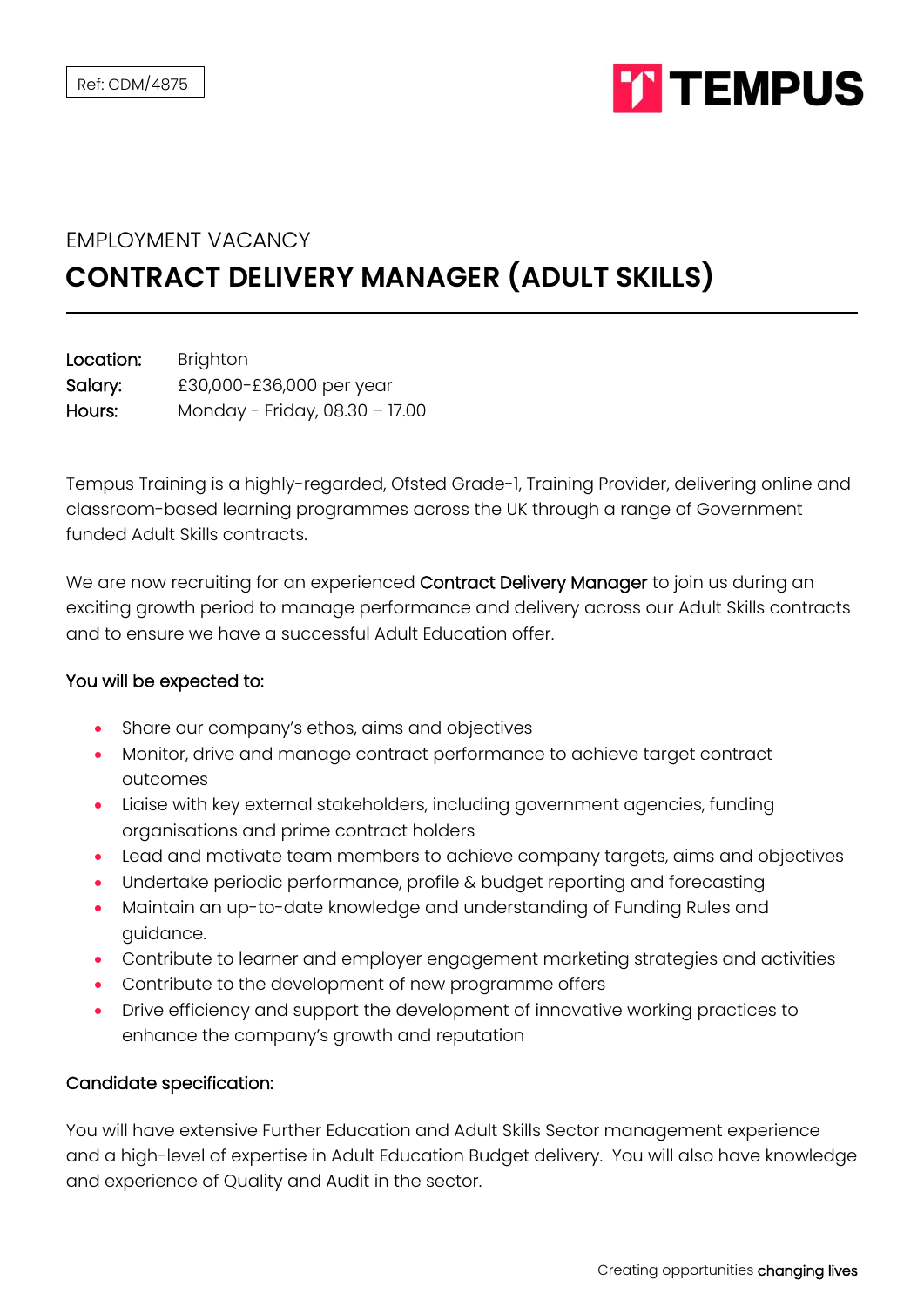

## EMPLOYMENT VACANCY **CONTRACT DELIVERY MANAGER (ADULT SKILLS)**

| Location: | <b>Brighton</b>                |
|-----------|--------------------------------|
| Salary:   | £30,000-£36,000 per year       |
| Hours:    | Monday - Friday, 08.30 - 17.00 |

Tempus Training is a highly-regarded, Ofsted Grade-1, Training Provider, delivering online and classroom-based learning programmes across the UK through a range of Government funded Adult Skills contracts.

We are now recruiting for an experienced Contract Delivery Manager to join us during an exciting growth period to manage performance and delivery across our Adult Skills contracts and to ensure we have a successful Adult Education offer.

## You will be expected to:

- Share our company's ethos, aims and objectives
- Monitor, drive and manage contract performance to achieve target contract outcomes
- Liaise with key external stakeholders, including government agencies, funding organisations and prime contract holders
- Lead and motivate team members to achieve company targets, aims and objectives
- Undertake periodic performance, profile & budget reporting and forecasting
- Maintain an up-to-date knowledge and understanding of Funding Rules and guidance.
- Contribute to learner and employer engagement marketing strategies and activities
- Contribute to the development of new programme offers
- Drive efficiency and support the development of innovative working practices to enhance the company's growth and reputation

## Candidate specification:

You will have extensive Further Education and Adult Skills Sector management experience and a high-level of expertise in Adult Education Budget delivery. You will also have knowledge and experience of Quality and Audit in the sector.